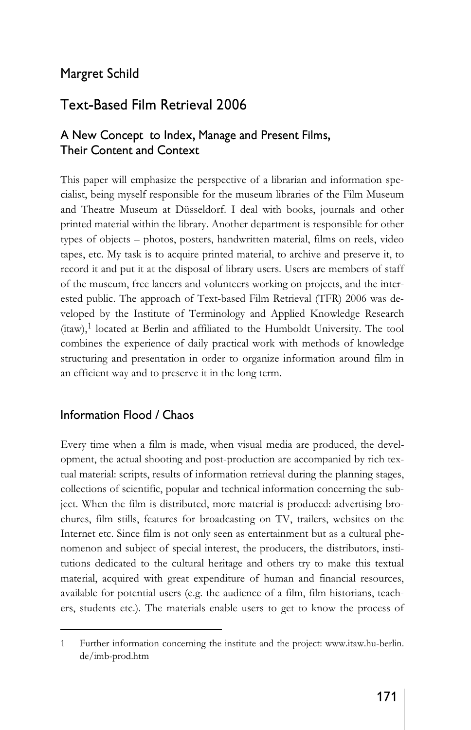## Margret Schild

# Text-Based Film Retrieval 2006

## A New Concept to Index, Manage and Present Films, Their Content and Context

This paper will emphasize the perspective of a librarian and information specialist, being myself responsible for the museum libraries of the Film Museum and Theatre Museum at Düsseldorf. I deal with books, journals and other printed material within the library. Another department is responsible for other types of objects – photos, posters, handwritten material, films on reels, video tapes, etc. My task is to acquire printed material, to archive and preserve it, to record it and put it at the disposal of library users. Users are members of staff of the museum, free lancers and volunteers working on projects, and the interested public. The approach of Text-based Film Retrieval (TFR) 2006 was developed by the Institute of Terminology and Applied Knowledge Research (itaw),<sup>1</sup> located at Berlin and affiliated to the Humboldt University. The tool combines the experience of daily practical work with methods of knowledge structuring and presentation in order to organize information around film in an efficient way and to preserve it in the long term.

### Information Flood / Chaos

Every time when a film is made, when visual media are produced, the development, the actual shooting and post-production are accompanied by rich textual material: scripts, results of information retrieval during the planning stages, collections of scientific, popular and technical information concerning the subject. When the film is distributed, more material is produced: advertising brochures, film stills, features for broadcasting on TV, trailers, websites on the Internet etc. Since film is not only seen as entertainment but as a cultural phenomenon and subject of special interest, the producers, the distributors, institutions dedicated to the cultural heritage and others try to make this textual material, acquired with great expenditure of human and financial resources, available for potential users (e.g. the audience of a film, film historians, teachers, students etc.). The materials enable users to get to know the process of

<sup>1</sup> Further information concerning the institute and the project: www.itaw.hu-berlin. de/imb-prod.htm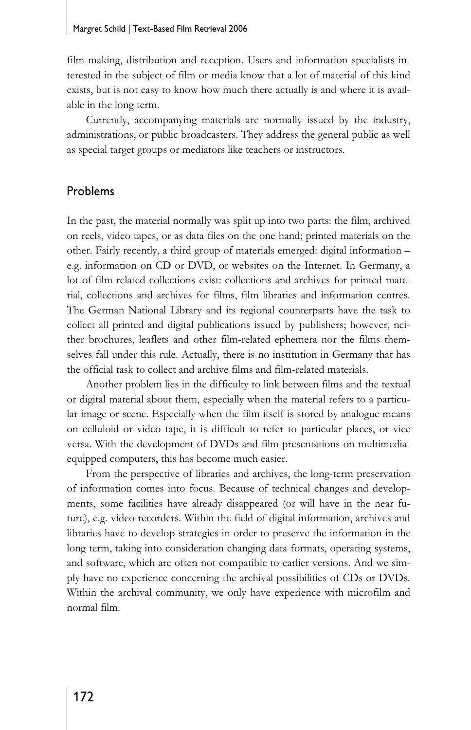#### Margret Schild | Text-Based Film Retrieval 2006

film making, distribution and reception. Users and information specialists interested in the subject of film or media know that a lot of material of this kind exists, but is not easy to know how much there actually is and where it is available in the long term.

Currently, accompanying materials are normally issued by the industry, administrations, or public broadcasters. They address the general public as well as special target groups or mediators like teachers or instructors.

### Problems

In the past, the material normally was split up into two parts: the film, archived on reels, video tapes, or as data files on the one hand; printed materials on the other. Fairly recently, a third group of materials emerged: digital information – e.g. information on CD or DVD, or websites on the Internet. In Germany, a lot of film-related collections exist: collections and archives for printed material, collections and archives for films, film libraries and information centres. The German National Library and its regional counterparts have the task to collect all printed and digital publications issued by publishers; however, neither brochures, leaflets and other film-related ephemera nor the films themselves fall under this rule. Actually, there is no institution in Germany that has the official task to collect and archive films and film-related materials.

Another problem lies in the difficulty to link between films and the textual or digital material about them, especially when the material refers to a particular image or scene. Especially when the film itself is stored by analogue means on celluloid or video tape, it is difficult to refer to particular places, or vice versa. With the development of DVDs and film presentations on multimediaequipped computers, this has become much easier.

From the perspective of libraries and archives, the long-term preservation of information comes into focus. Because of technical changes and developments, some facilities have already disappeared (or will have in the near future), e.g. video recorders. Within the field of digital information, archives and libraries have to develop strategies in order to preserve the information in the long term, taking into consideration changing data formats, operating systems, and software, which are often not compatible to earlier versions. And we simply have no experience concerning the archival possibilities of CDs or DVDs. Within the archival community, we only have experience with microfilm and normal film.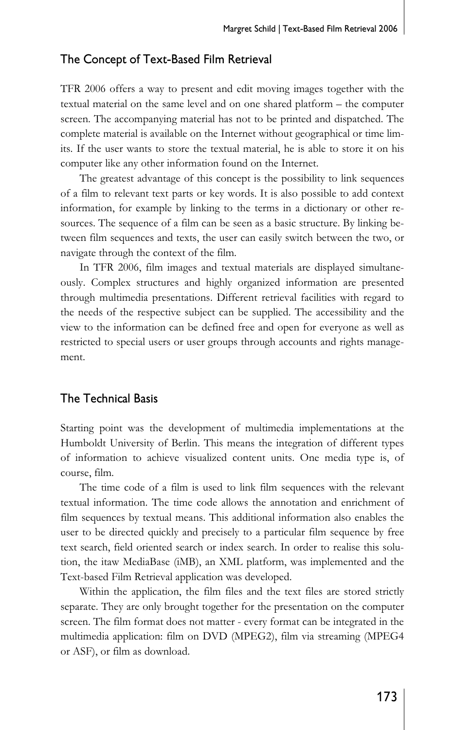### The Concept of Text-Based Film Retrieval

TFR 2006 offers a way to present and edit moving images together with the textual material on the same level and on one shared platform – the computer screen. The accompanying material has not to be printed and dispatched. The complete material is available on the Internet without geographical or time limits. If the user wants to store the textual material, he is able to store it on his computer like any other information found on the Internet.

The greatest advantage of this concept is the possibility to link sequences of a film to relevant text parts or key words. It is also possible to add context information, for example by linking to the terms in a dictionary or other resources. The sequence of a film can be seen as a basic structure. By linking between film sequences and texts, the user can easily switch between the two, or navigate through the context of the film.

In TFR 2006, film images and textual materials are displayed simultaneously. Complex structures and highly organized information are presented through multimedia presentations. Different retrieval facilities with regard to the needs of the respective subject can be supplied. The accessibility and the view to the information can be defined free and open for everyone as well as restricted to special users or user groups through accounts and rights management.

### The Technical Basis

Starting point was the development of multimedia implementations at the Humboldt University of Berlin. This means the integration of different types of information to achieve visualized content units. One media type is, of course, film.

The time code of a film is used to link film sequences with the relevant textual information. The time code allows the annotation and enrichment of film sequences by textual means. This additional information also enables the user to be directed quickly and precisely to a particular film sequence by free text search, field oriented search or index search. In order to realise this solution, the itaw MediaBase (iMB), an XML platform, was implemented and the Text-based Film Retrieval application was developed.

Within the application, the film files and the text files are stored strictly separate. They are only brought together for the presentation on the computer screen. The film format does not matter - every format can be integrated in the multimedia application: film on DVD (MPEG2), film via streaming (MPEG4 or ASF), or film as download.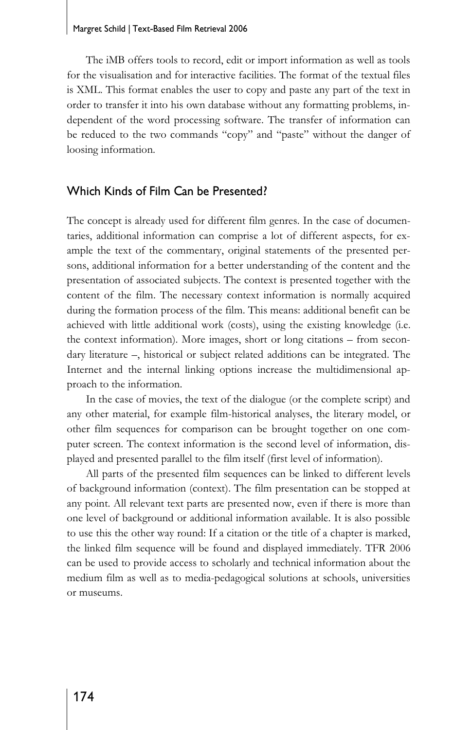#### Margret Schild | Text-Based Film Retrieval 2006

The iMB offers tools to record, edit or import information as well as tools for the visualisation and for interactive facilities. The format of the textual files is XML. This format enables the user to copy and paste any part of the text in order to transfer it into his own database without any formatting problems, independent of the word processing software. The transfer of information can be reduced to the two commands "copy" and "paste" without the danger of loosing information.

### Which Kinds of Film Can be Presented?

The concept is already used for different film genres. In the case of documentaries, additional information can comprise a lot of different aspects, for example the text of the commentary, original statements of the presented persons, additional information for a better understanding of the content and the presentation of associated subjects. The context is presented together with the content of the film. The necessary context information is normally acquired during the formation process of the film. This means: additional benefit can be achieved with little additional work (costs), using the existing knowledge (i.e. the context information). More images, short or long citations – from secondary literature –, historical or subject related additions can be integrated. The Internet and the internal linking options increase the multidimensional approach to the information.

In the case of movies, the text of the dialogue (or the complete script) and any other material, for example film-historical analyses, the literary model, or other film sequences for comparison can be brought together on one computer screen. The context information is the second level of information, displayed and presented parallel to the film itself (first level of information).

All parts of the presented film sequences can be linked to different levels of background information (context). The film presentation can be stopped at any point. All relevant text parts are presented now, even if there is more than one level of background or additional information available. It is also possible to use this the other way round: If a citation or the title of a chapter is marked, the linked film sequence will be found and displayed immediately. TFR 2006 can be used to provide access to scholarly and technical information about the medium film as well as to media-pedagogical solutions at schools, universities or museums.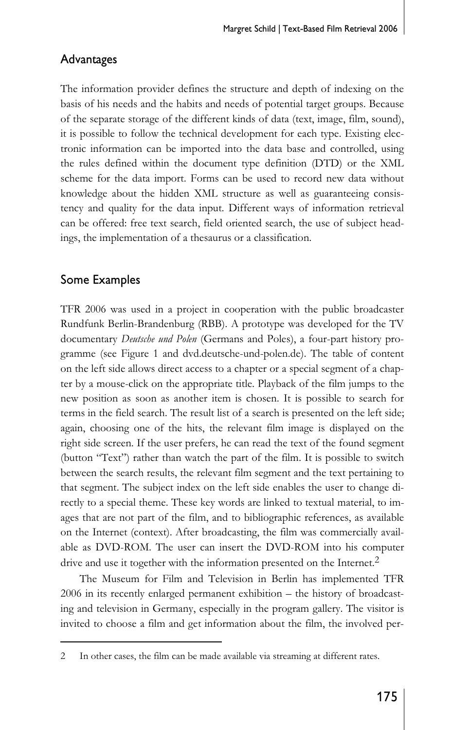### Advantages

The information provider defines the structure and depth of indexing on the basis of his needs and the habits and needs of potential target groups. Because of the separate storage of the different kinds of data (text, image, film, sound), it is possible to follow the technical development for each type. Existing electronic information can be imported into the data base and controlled, using the rules defined within the document type definition (DTD) or the XML scheme for the data import. Forms can be used to record new data without knowledge about the hidden XML structure as well as guaranteeing consistency and quality for the data input. Different ways of information retrieval can be offered: free text search, field oriented search, the use of subject headings, the implementation of a thesaurus or a classification.

### Some Examples

TFR 2006 was used in a project in cooperation with the public broadcaster Rundfunk Berlin-Brandenburg (RBB). A prototype was developed for the TV documentary *Deutsche und Polen* (Germans and Poles), a four-part history programme (see Figure 1 and dvd.deutsche-und-polen.de). The table of content on the left side allows direct access to a chapter or a special segment of a chapter by a mouse-click on the appropriate title. Playback of the film jumps to the new position as soon as another item is chosen. It is possible to search for terms in the field search. The result list of a search is presented on the left side; again, choosing one of the hits, the relevant film image is displayed on the right side screen. If the user prefers, he can read the text of the found segment (button "Text") rather than watch the part of the film. It is possible to switch between the search results, the relevant film segment and the text pertaining to that segment. The subject index on the left side enables the user to change directly to a special theme. These key words are linked to textual material, to images that are not part of the film, and to bibliographic references, as available on the Internet (context). After broadcasting, the film was commercially available as DVD-ROM. The user can insert the DVD-ROM into his computer drive and use it together with the information presented on the Internet.<sup>2</sup>

The Museum for Film and Television in Berlin has implemented TFR 2006 in its recently enlarged permanent exhibition – the history of broadcasting and television in Germany, especially in the program gallery. The visitor is invited to choose a film and get information about the film, the involved per-

<sup>2</sup> In other cases, the film can be made available via streaming at different rates.